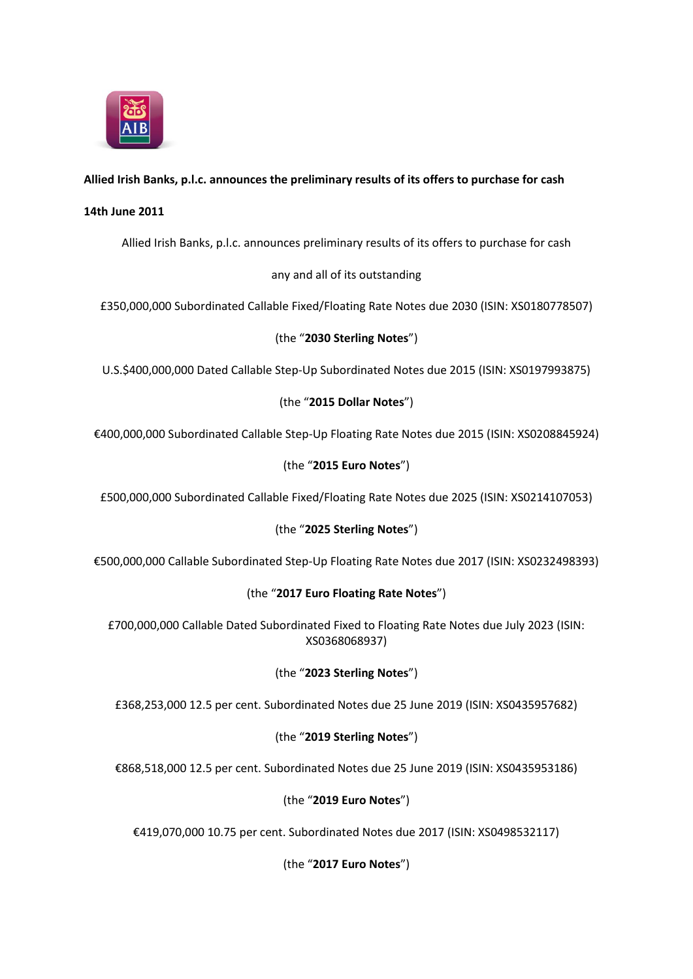

# **Allied Irish Banks, p.l.c. announces the preliminary results of its offers to purchase for cash**

#### **14th June 2011**

Allied Irish Banks, p.l.c. announces preliminary results of its offers to purchase for cash

## any and all of its outstanding

£350,000,000 Subordinated Callable Fixed/Floating Rate Notes due 2030 (ISIN: XS0180778507)

## (the "**2030 Sterling Notes**")

U.S.\$400,000,000 Dated Callable Step-Up Subordinated Notes due 2015 (ISIN: XS0197993875)

## (the "**2015 Dollar Notes**")

€400,000,000 Subordinated Callable Step-Up Floating Rate Notes due 2015 (ISIN: XS0208845924)

## (the "**2015 Euro Notes**")

£500,000,000 Subordinated Callable Fixed/Floating Rate Notes due 2025 (ISIN: XS0214107053)

## (the "**2025 Sterling Notes**")

€500,000,000 Callable Subordinated Step-Up Floating Rate Notes due 2017 (ISIN: XS0232498393)

## (the "**2017 Euro Floating Rate Notes**")

£700,000,000 Callable Dated Subordinated Fixed to Floating Rate Notes due July 2023 (ISIN: XS0368068937)

## (the "**2023 Sterling Notes**")

£368,253,000 12.5 per cent. Subordinated Notes due 25 June 2019 (ISIN: XS0435957682)

## (the "**2019 Sterling Notes**")

€868,518,000 12.5 per cent. Subordinated Notes due 25 June 2019 (ISIN: XS0435953186)

## (the "**2019 Euro Notes**")

€419,070,000 10.75 per cent. Subordinated Notes due 2017 (ISIN: XS0498532117)

(the "**2017 Euro Notes**")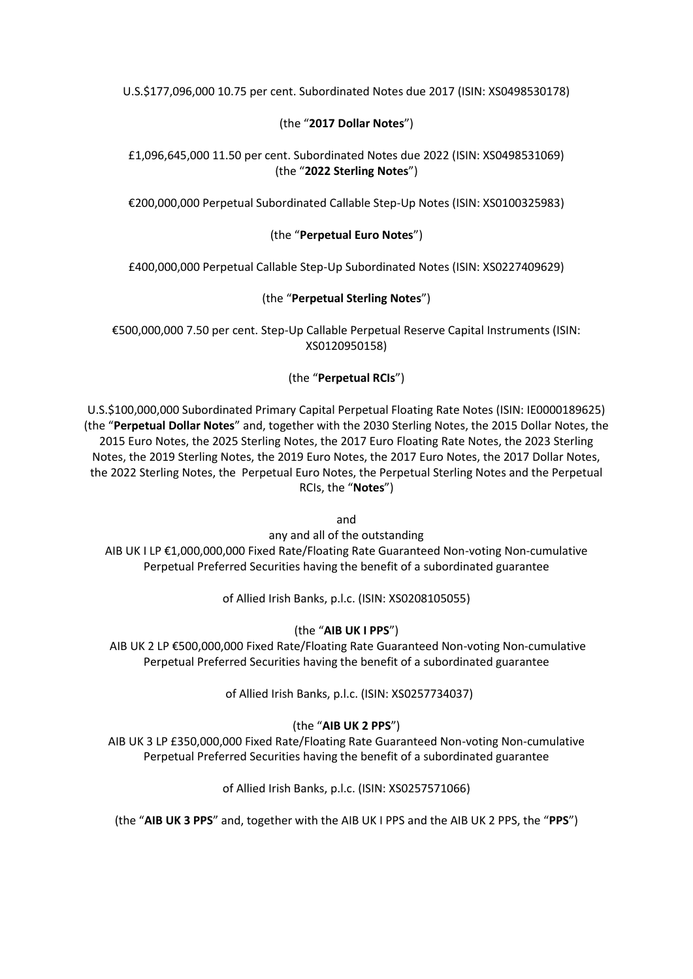U.S.\$177,096,000 10.75 per cent. Subordinated Notes due 2017 (ISIN: XS0498530178)

## (the "**2017 Dollar Notes**")

#### £1,096,645,000 11.50 per cent. Subordinated Notes due 2022 (ISIN: XS0498531069) (the "**2022 Sterling Notes**")

€200,000,000 Perpetual Subordinated Callable Step-Up Notes (ISIN: XS0100325983)

#### (the "**Perpetual Euro Notes**")

£400,000,000 Perpetual Callable Step-Up Subordinated Notes (ISIN: XS0227409629)

#### (the "**Perpetual Sterling Notes**")

€500,000,000 7.50 per cent. Step-Up Callable Perpetual Reserve Capital Instruments (ISIN: XS0120950158)

#### (the "**Perpetual RCIs**")

U.S.\$100,000,000 Subordinated Primary Capital Perpetual Floating Rate Notes (ISIN: IE0000189625) (the "**Perpetual Dollar Notes**" and, together with the 2030 Sterling Notes, the 2015 Dollar Notes, the 2015 Euro Notes, the 2025 Sterling Notes, the 2017 Euro Floating Rate Notes, the 2023 Sterling Notes, the 2019 Sterling Notes, the 2019 Euro Notes, the 2017 Euro Notes, the 2017 Dollar Notes, the 2022 Sterling Notes, the Perpetual Euro Notes, the Perpetual Sterling Notes and the Perpetual RCIs, the "**Notes**")

and

any and all of the outstanding AIB UK I LP €1,000,000,000 Fixed Rate/Floating Rate Guaranteed Non-voting Non-cumulative Perpetual Preferred Securities having the benefit of a subordinated guarantee

of Allied Irish Banks, p.l.c. (ISIN: XS0208105055)

## (the "**AIB UK I PPS**")

AIB UK 2 LP €500,000,000 Fixed Rate/Floating Rate Guaranteed Non-voting Non-cumulative Perpetual Preferred Securities having the benefit of a subordinated guarantee

of Allied Irish Banks, p.l.c. (ISIN: XS0257734037)

## (the "**AIB UK 2 PPS**")

AIB UK 3 LP £350,000,000 Fixed Rate/Floating Rate Guaranteed Non-voting Non-cumulative Perpetual Preferred Securities having the benefit of a subordinated guarantee

of Allied Irish Banks, p.l.c. (ISIN: XS0257571066)

(the "**AIB UK 3 PPS**" and, together with the AIB UK I PPS and the AIB UK 2 PPS, the "**PPS**")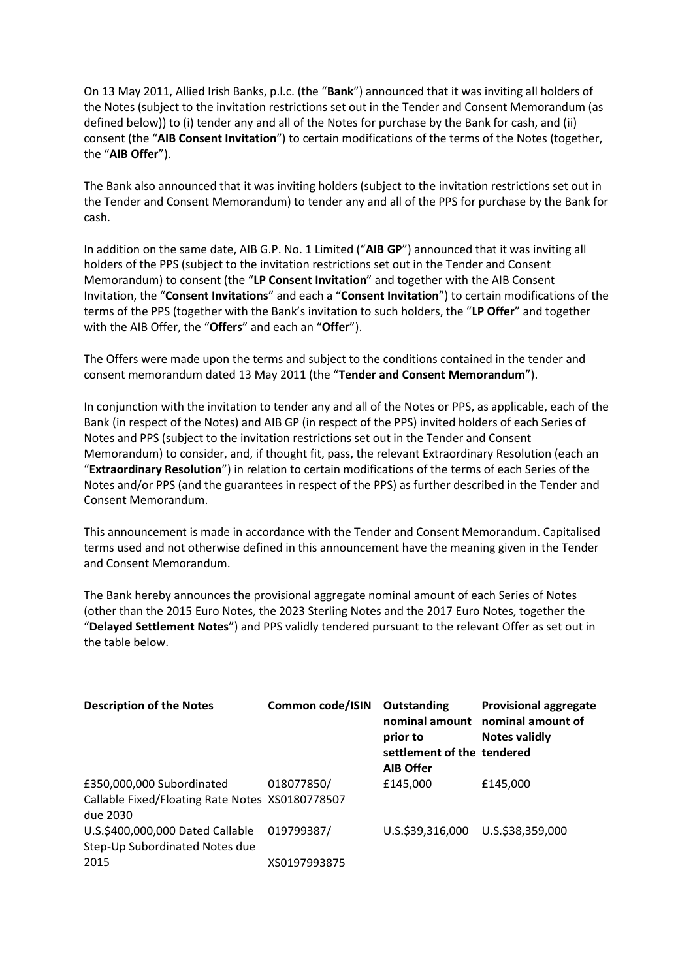On 13 May 2011, Allied Irish Banks, p.l.c. (the "**Bank**") announced that it was inviting all holders of the Notes (subject to the invitation restrictions set out in the Tender and Consent Memorandum (as defined below)) to (i) tender any and all of the Notes for purchase by the Bank for cash, and (ii) consent (the "**AIB Consent Invitation**") to certain modifications of the terms of the Notes (together, the "**AIB Offer**").

The Bank also announced that it was inviting holders (subject to the invitation restrictions set out in the Tender and Consent Memorandum) to tender any and all of the PPS for purchase by the Bank for cash.

In addition on the same date, AIB G.P. No. 1 Limited ("**AIB GP**") announced that it was inviting all holders of the PPS (subject to the invitation restrictions set out in the Tender and Consent Memorandum) to consent (the "**LP Consent Invitation**" and together with the AIB Consent Invitation, the "**Consent Invitations**" and each a "**Consent Invitation**") to certain modifications of the terms of the PPS (together with the Bank's invitation to such holders, the "**LP Offer**" and together with the AIB Offer, the "**Offers**" and each an "**Offer**").

The Offers were made upon the terms and subject to the conditions contained in the tender and consent memorandum dated 13 May 2011 (the "**Tender and Consent Memorandum**").

In conjunction with the invitation to tender any and all of the Notes or PPS, as applicable, each of the Bank (in respect of the Notes) and AIB GP (in respect of the PPS) invited holders of each Series of Notes and PPS (subject to the invitation restrictions set out in the Tender and Consent Memorandum) to consider, and, if thought fit, pass, the relevant Extraordinary Resolution (each an "**Extraordinary Resolution**") in relation to certain modifications of the terms of each Series of the Notes and/or PPS (and the guarantees in respect of the PPS) as further described in the Tender and Consent Memorandum.

This announcement is made in accordance with the Tender and Consent Memorandum. Capitalised terms used and not otherwise defined in this announcement have the meaning given in the Tender and Consent Memorandum.

The Bank hereby announces the provisional aggregate nominal amount of each Series of Notes (other than the 2015 Euro Notes, the 2023 Sterling Notes and the 2017 Euro Notes, together the "**Delayed Settlement Notes**") and PPS validly tendered pursuant to the relevant Offer as set out in the table below.

| <b>Description of the Notes</b>                                                          | Common code/ISIN | Outstanding<br>prior to<br>settlement of the tendered<br><b>AIB Offer</b> | <b>Provisional aggregate</b><br>nominal amount nominal amount of<br><b>Notes validly</b> |
|------------------------------------------------------------------------------------------|------------------|---------------------------------------------------------------------------|------------------------------------------------------------------------------------------|
| £350,000,000 Subordinated<br>Callable Fixed/Floating Rate Notes XS0180778507<br>due 2030 | 018077850/       | £145,000                                                                  | £145,000                                                                                 |
| U.S.\$400,000,000 Dated Callable<br>Step-Up Subordinated Notes due                       | 019799387/       | U.S.\$39,316,000 U.S.\$38,359,000                                         |                                                                                          |
| 2015                                                                                     | XS0197993875     |                                                                           |                                                                                          |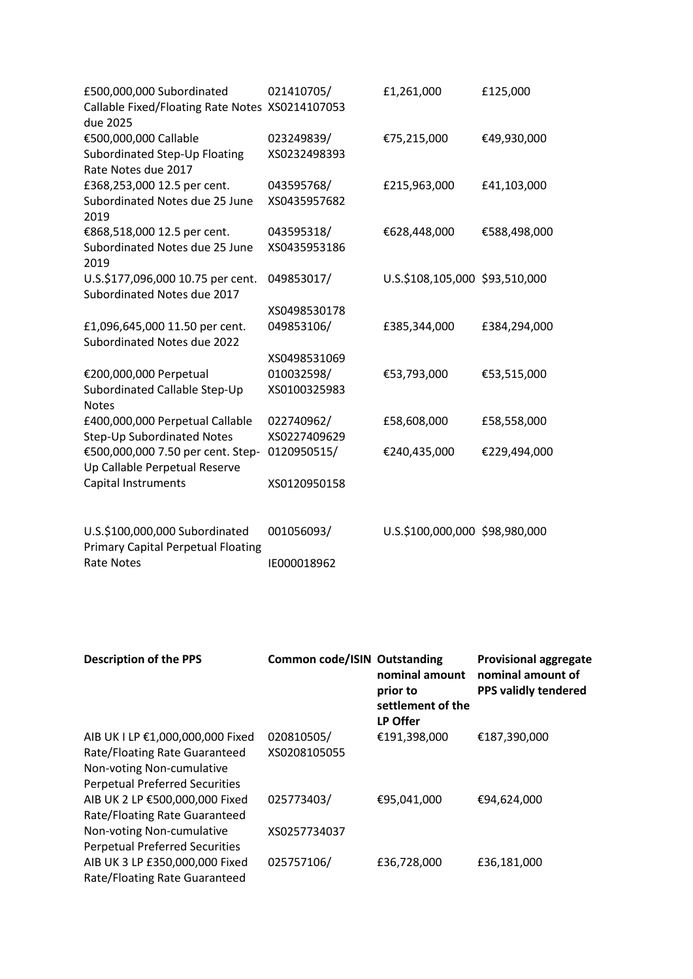| £500,000,000 Subordinated<br>Callable Fixed/Floating Rate Notes XS0214107053<br>due 2025         | 021410705/                 | £1,261,000                     | £125,000     |
|--------------------------------------------------------------------------------------------------|----------------------------|--------------------------------|--------------|
| €500,000,000 Callable<br>Subordinated Step-Up Floating                                           | 023249839/<br>XS0232498393 | €75,215,000                    | €49,930,000  |
| Rate Notes due 2017                                                                              |                            |                                |              |
| £368,253,000 12.5 per cent.<br>Subordinated Notes due 25 June<br>2019                            | 043595768/<br>XS0435957682 | £215,963,000                   | £41,103,000  |
| €868,518,000 12.5 per cent.<br>Subordinated Notes due 25 June<br>2019                            | 043595318/<br>XS0435953186 | €628,448,000                   | €588,498,000 |
| U.S.\$177,096,000 10.75 per cent.<br>Subordinated Notes due 2017                                 | 049853017/                 | U.S.\$108,105,000 \$93,510,000 |              |
|                                                                                                  | XS0498530178               |                                |              |
| £1,096,645,000 11.50 per cent.<br>Subordinated Notes due 2022                                    | 049853106/                 | £385,344,000                   | £384,294,000 |
|                                                                                                  | XS0498531069               |                                |              |
| €200,000,000 Perpetual<br>Subordinated Callable Step-Up<br><b>Notes</b>                          | 010032598/<br>XS0100325983 | €53,793,000                    | €53,515,000  |
| £400,000,000 Perpetual Callable                                                                  | 022740962/<br>XS0227409629 | £58,608,000                    | £58,558,000  |
| Step-Up Subordinated Notes<br>€500,000,000 7.50 per cent. Step-<br>Up Callable Perpetual Reserve | 0120950515/                | €240,435,000                   | €229,494,000 |
| <b>Capital Instruments</b>                                                                       | XS0120950158               |                                |              |
| U.S.\$100,000,000 Subordinated<br><b>Primary Capital Perpetual Floating</b>                      | 001056093/                 | U.S.\$100,000,000 \$98,980,000 |              |

IE000018962

Rate Notes

| <b>Description of the PPS</b>                                                                                                           | <b>Common code/ISIN Outstanding</b> | nominal amount<br>prior to<br>settlement of the<br>LP Offer | <b>Provisional aggregate</b><br>nominal amount of<br><b>PPS validly tendered</b> |
|-----------------------------------------------------------------------------------------------------------------------------------------|-------------------------------------|-------------------------------------------------------------|----------------------------------------------------------------------------------|
| AIB UK I LP €1,000,000,000 Fixed<br>Rate/Floating Rate Guaranteed<br>Non-voting Non-cumulative<br><b>Perpetual Preferred Securities</b> | 020810505/<br>XS0208105055          | €191,398,000                                                | €187,390,000                                                                     |
| AIB UK 2 LP €500,000,000 Fixed<br>Rate/Floating Rate Guaranteed<br>Non-voting Non-cumulative                                            | 025773403/<br>XS0257734037          | €95,041,000                                                 | €94,624,000                                                                      |
| <b>Perpetual Preferred Securities</b><br>AIB UK 3 LP £350,000,000 Fixed<br>Rate/Floating Rate Guaranteed                                | 025757106/                          | £36,728,000                                                 | £36,181,000                                                                      |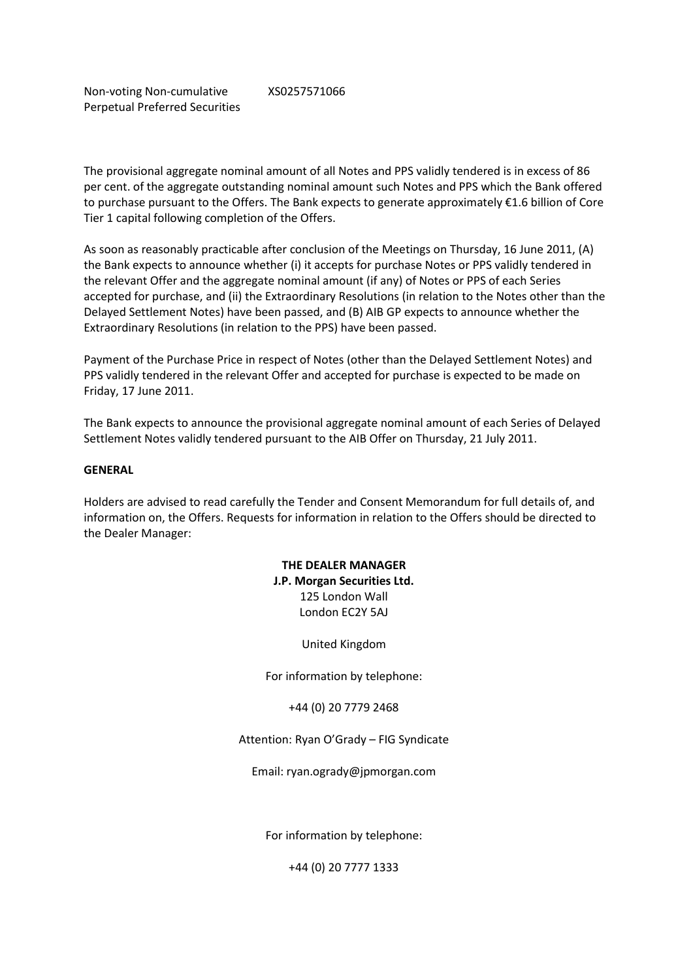Non-voting Non-cumulative Perpetual Preferred Securities XS0257571066

The provisional aggregate nominal amount of all Notes and PPS validly tendered is in excess of 86 per cent. of the aggregate outstanding nominal amount such Notes and PPS which the Bank offered to purchase pursuant to the Offers. The Bank expects to generate approximately €1.6 billion of Core Tier 1 capital following completion of the Offers.

As soon as reasonably practicable after conclusion of the Meetings on Thursday, 16 June 2011, (A) the Bank expects to announce whether (i) it accepts for purchase Notes or PPS validly tendered in the relevant Offer and the aggregate nominal amount (if any) of Notes or PPS of each Series accepted for purchase, and (ii) the Extraordinary Resolutions (in relation to the Notes other than the Delayed Settlement Notes) have been passed, and (B) AIB GP expects to announce whether the Extraordinary Resolutions (in relation to the PPS) have been passed.

Payment of the Purchase Price in respect of Notes (other than the Delayed Settlement Notes) and PPS validly tendered in the relevant Offer and accepted for purchase is expected to be made on Friday, 17 June 2011.

The Bank expects to announce the provisional aggregate nominal amount of each Series of Delayed Settlement Notes validly tendered pursuant to the AIB Offer on Thursday, 21 July 2011.

#### **GENERAL**

Holders are advised to read carefully the Tender and Consent Memorandum for full details of, and information on, the Offers. Requests for information in relation to the Offers should be directed to the Dealer Manager:

> **THE DEALER MANAGER J.P. Morgan Securities Ltd.** 125 London Wall London EC2Y 5AJ

> > United Kingdom

For information by telephone:

+44 (0) 20 7779 2468

Attention: Ryan O'Grady – FIG Syndicate

Email: ryan.ogrady@jpmorgan.com

For information by telephone:

+44 (0) 20 7777 1333